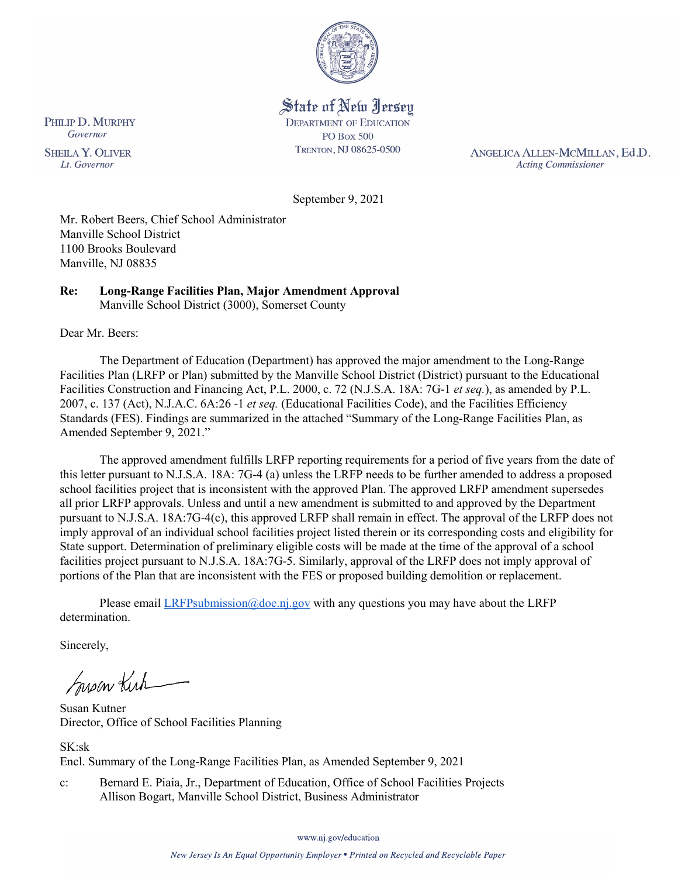

State of New Jersey **DEPARTMENT OF EDUCATION PO Box 500** TRENTON, NJ 08625-0500

ANGELICA ALLEN-MCMILLAN, Ed.D. **Acting Commissioner** 

September 9, 2021

Mr. Robert Beers, Chief School Administrator Manville School District 1100 Brooks Boulevard Manville, NJ 08835

#### **Re: Long-Range Facilities Plan, Major Amendment Approval**  Manville School District (3000), Somerset County

Dear Mr. Beers:

The Department of Education (Department) has approved the major amendment to the Long-Range Facilities Plan (LRFP or Plan) submitted by the Manville School District (District) pursuant to the Educational Facilities Construction and Financing Act, P.L. 2000, c. 72 (N.J.S.A. 18A: 7G-1 *et seq.*), as amended by P.L. 2007, c. 137 (Act), N.J.A.C. 6A:26 -1 *et seq.* (Educational Facilities Code), and the Facilities Efficiency Standards (FES). Findings are summarized in the attached "Summary of the Long-Range Facilities Plan, as Amended September 9, 2021."

The approved amendment fulfills LRFP reporting requirements for a period of five years from the date of this letter pursuant to N.J.S.A. 18A: 7G-4 (a) unless the LRFP needs to be further amended to address a proposed school facilities project that is inconsistent with the approved Plan. The approved LRFP amendment supersedes all prior LRFP approvals. Unless and until a new amendment is submitted to and approved by the Department pursuant to N.J.S.A. 18A:7G-4(c), this approved LRFP shall remain in effect. The approval of the LRFP does not imply approval of an individual school facilities project listed therein or its corresponding costs and eligibility for State support. Determination of preliminary eligible costs will be made at the time of the approval of a school facilities project pursuant to N.J.S.A. 18A:7G-5. Similarly, approval of the LRFP does not imply approval of portions of the Plan that are inconsistent with the FES or proposed building demolition or replacement.

Please email  $LRFP submission@doe.nj.gov$  with any questions you may have about the LRFP determination.

Sincerely,

Susan Kich

Susan Kutner Director, Office of School Facilities Planning

SK:sk Encl. Summary of the Long-Range Facilities Plan, as Amended September 9, 2021

c: Bernard E. Piaia, Jr., Department of Education, Office of School Facilities Projects Allison Bogart, Manville School District, Business Administrator

www.nj.gov/education

PHILIP D. MURPHY Governor

**SHEILA Y. OLIVER** Lt. Governor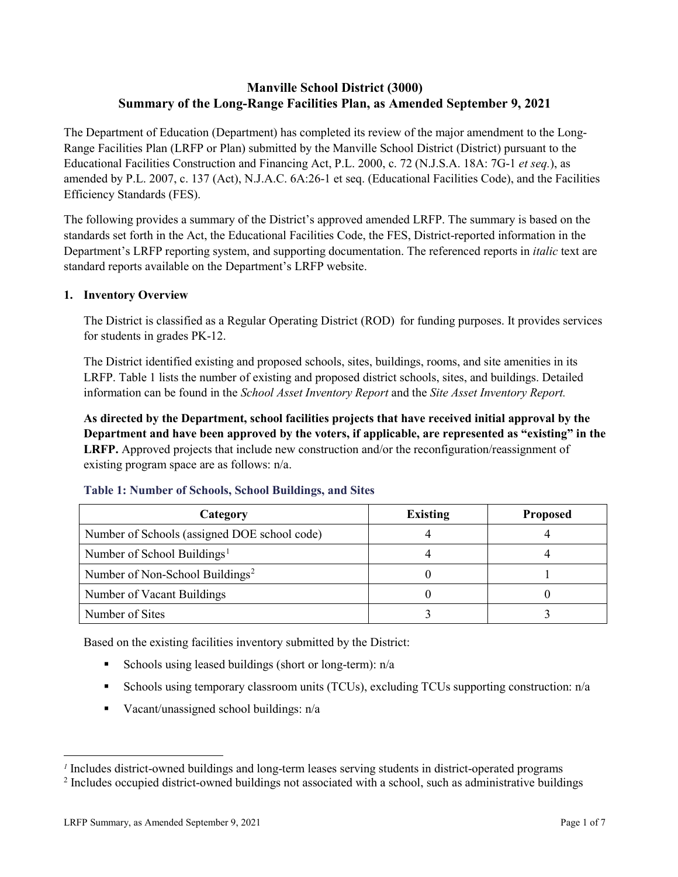# **Manville School District (3000) Summary of the Long-Range Facilities Plan, as Amended September 9, 2021**

The Department of Education (Department) has completed its review of the major amendment to the Long-Range Facilities Plan (LRFP or Plan) submitted by the Manville School District (District) pursuant to the Educational Facilities Construction and Financing Act, P.L. 2000, c. 72 (N.J.S.A. 18A: 7G-1 *et seq.*), as amended by P.L. 2007, c. 137 (Act), N.J.A.C. 6A:26-1 et seq. (Educational Facilities Code), and the Facilities Efficiency Standards (FES).

The following provides a summary of the District's approved amended LRFP. The summary is based on the standards set forth in the Act, the Educational Facilities Code, the FES, District-reported information in the Department's LRFP reporting system, and supporting documentation. The referenced reports in *italic* text are standard reports available on the Department's LRFP website.

## **1. Inventory Overview**

The District is classified as a Regular Operating District (ROD) for funding purposes. It provides services for students in grades PK-12.

The District identified existing and proposed schools, sites, buildings, rooms, and site amenities in its LRFP. Table 1 lists the number of existing and proposed district schools, sites, and buildings. Detailed information can be found in the *School Asset Inventory Report* and the *Site Asset Inventory Report.*

**As directed by the Department, school facilities projects that have received initial approval by the Department and have been approved by the voters, if applicable, are represented as "existing" in the LRFP.** Approved projects that include new construction and/or the reconfiguration/reassignment of existing program space are as follows: n/a.

| Category                                     | <b>Existing</b> | <b>Proposed</b> |
|----------------------------------------------|-----------------|-----------------|
| Number of Schools (assigned DOE school code) |                 |                 |
| Number of School Buildings <sup>1</sup>      |                 |                 |
| Number of Non-School Buildings <sup>2</sup>  |                 |                 |
| Number of Vacant Buildings                   |                 |                 |
| Number of Sites                              |                 |                 |

## **Table 1: Number of Schools, School Buildings, and Sites**

Based on the existing facilities inventory submitted by the District:

- Schools using leased buildings (short or long-term):  $n/a$
- Schools using temporary classroom units (TCUs), excluding TCUs supporting construction: n/a
- Vacant/unassigned school buildings:  $n/a$

 $\overline{a}$ 

<span id="page-1-1"></span><span id="page-1-0"></span>*<sup>1</sup>* Includes district-owned buildings and long-term leases serving students in district-operated programs

<sup>&</sup>lt;sup>2</sup> Includes occupied district-owned buildings not associated with a school, such as administrative buildings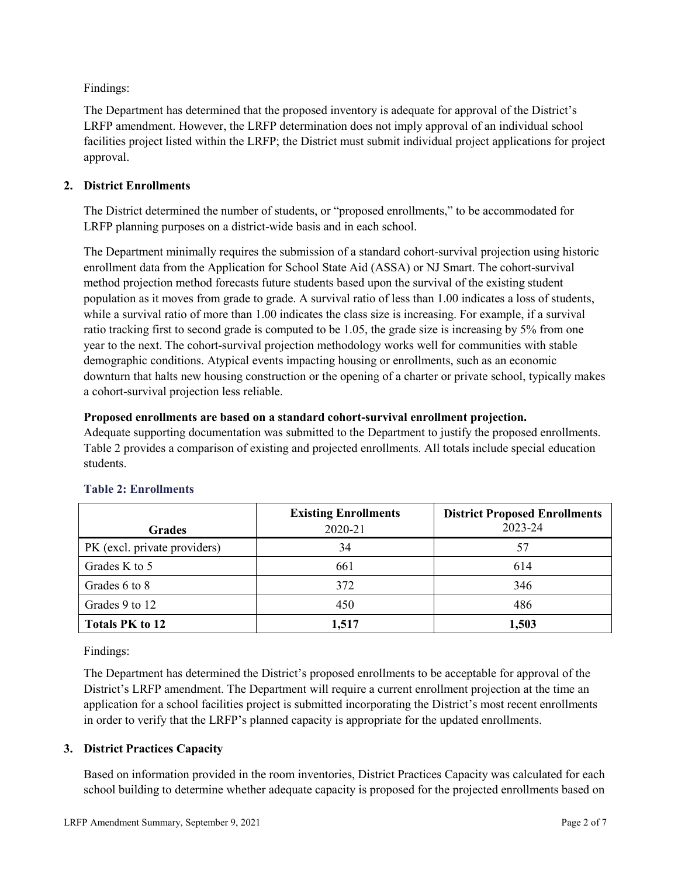Findings:

The Department has determined that the proposed inventory is adequate for approval of the District's LRFP amendment. However, the LRFP determination does not imply approval of an individual school facilities project listed within the LRFP; the District must submit individual project applications for project approval.

## **2. District Enrollments**

The District determined the number of students, or "proposed enrollments," to be accommodated for LRFP planning purposes on a district-wide basis and in each school.

The Department minimally requires the submission of a standard cohort-survival projection using historic enrollment data from the Application for School State Aid (ASSA) or NJ Smart. The cohort-survival method projection method forecasts future students based upon the survival of the existing student population as it moves from grade to grade. A survival ratio of less than 1.00 indicates a loss of students, while a survival ratio of more than 1.00 indicates the class size is increasing. For example, if a survival ratio tracking first to second grade is computed to be 1.05, the grade size is increasing by 5% from one year to the next. The cohort-survival projection methodology works well for communities with stable demographic conditions. Atypical events impacting housing or enrollments, such as an economic downturn that halts new housing construction or the opening of a charter or private school, typically makes a cohort-survival projection less reliable.

## **Proposed enrollments are based on a standard cohort-survival enrollment projection.**

Adequate supporting documentation was submitted to the Department to justify the proposed enrollments. Table 2 provides a comparison of existing and projected enrollments. All totals include special education students.

|                              | <b>Existing Enrollments</b> | <b>District Proposed Enrollments</b> |
|------------------------------|-----------------------------|--------------------------------------|
| <b>Grades</b>                | 2020-21                     | 2023-24                              |
| PK (excl. private providers) | 34                          | 57                                   |
| Grades K to 5                | 661                         | 614                                  |
| Grades 6 to 8                | 372                         | 346                                  |
| Grades 9 to 12               | 450                         | 486                                  |
| <b>Totals PK to 12</b>       | 1,517                       | 1,503                                |

# **Table 2: Enrollments**

Findings:

The Department has determined the District's proposed enrollments to be acceptable for approval of the District's LRFP amendment. The Department will require a current enrollment projection at the time an application for a school facilities project is submitted incorporating the District's most recent enrollments in order to verify that the LRFP's planned capacity is appropriate for the updated enrollments.

# **3. District Practices Capacity**

Based on information provided in the room inventories, District Practices Capacity was calculated for each school building to determine whether adequate capacity is proposed for the projected enrollments based on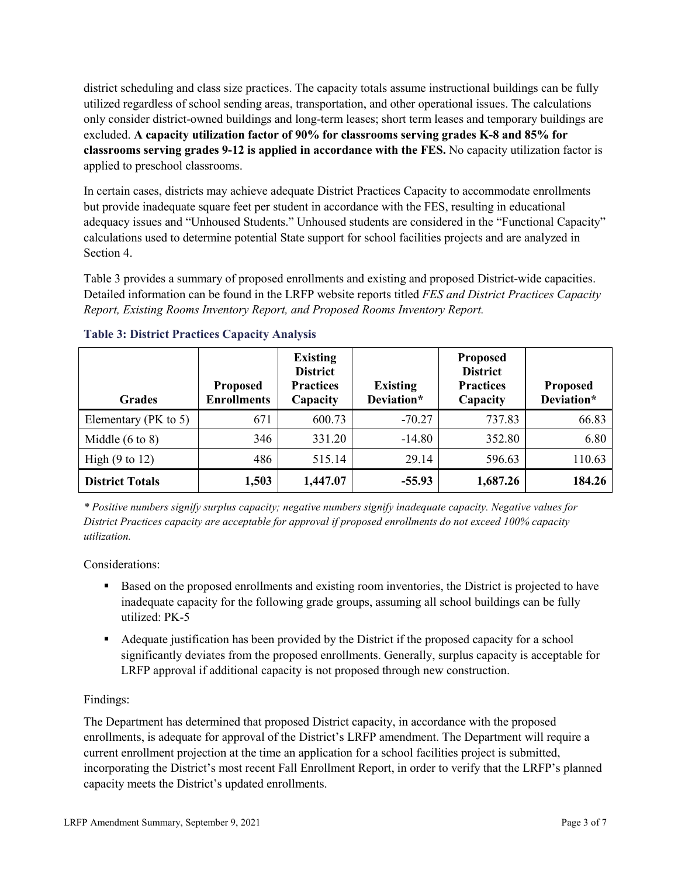district scheduling and class size practices. The capacity totals assume instructional buildings can be fully utilized regardless of school sending areas, transportation, and other operational issues. The calculations only consider district-owned buildings and long-term leases; short term leases and temporary buildings are excluded. **A capacity utilization factor of 90% for classrooms serving grades K-8 and 85% for classrooms serving grades 9-12 is applied in accordance with the FES.** No capacity utilization factor is applied to preschool classrooms.

In certain cases, districts may achieve adequate District Practices Capacity to accommodate enrollments but provide inadequate square feet per student in accordance with the FES, resulting in educational adequacy issues and "Unhoused Students." Unhoused students are considered in the "Functional Capacity" calculations used to determine potential State support for school facilities projects and are analyzed in Section 4.

Table 3 provides a summary of proposed enrollments and existing and proposed District-wide capacities. Detailed information can be found in the LRFP website reports titled *FES and District Practices Capacity Report, Existing Rooms Inventory Report, and Proposed Rooms Inventory Report.*

| <b>Grades</b>              | <b>Proposed</b><br><b>Enrollments</b> | <b>Existing</b><br><b>District</b><br><b>Practices</b><br>Capacity | <b>Existing</b><br>Deviation* | <b>Proposed</b><br><b>District</b><br><b>Practices</b><br>Capacity | <b>Proposed</b><br>Deviation* |
|----------------------------|---------------------------------------|--------------------------------------------------------------------|-------------------------------|--------------------------------------------------------------------|-------------------------------|
| Elementary ( $PK$ to 5)    | 671                                   | 600.73                                                             | $-70.27$                      | 737.83                                                             | 66.83                         |
| Middle $(6 \text{ to } 8)$ | 346                                   | 331.20                                                             | $-14.80$                      | 352.80                                                             | 6.80                          |
| High $(9 \text{ to } 12)$  | 486                                   | 515.14                                                             | 29.14                         | 596.63                                                             | 110.63                        |
| <b>District Totals</b>     | 1,503                                 | 1,447.07                                                           | $-55.93$                      | 1,687.26                                                           | 184.26                        |

## **Table 3: District Practices Capacity Analysis**

*\* Positive numbers signify surplus capacity; negative numbers signify inadequate capacity. Negative values for District Practices capacity are acceptable for approval if proposed enrollments do not exceed 100% capacity utilization.*

Considerations:

- Based on the proposed enrollments and existing room inventories, the District is projected to have inadequate capacity for the following grade groups, assuming all school buildings can be fully utilized: PK-5
- Adequate justification has been provided by the District if the proposed capacity for a school significantly deviates from the proposed enrollments. Generally, surplus capacity is acceptable for LRFP approval if additional capacity is not proposed through new construction.

## Findings:

The Department has determined that proposed District capacity, in accordance with the proposed enrollments, is adequate for approval of the District's LRFP amendment. The Department will require a current enrollment projection at the time an application for a school facilities project is submitted, incorporating the District's most recent Fall Enrollment Report, in order to verify that the LRFP's planned capacity meets the District's updated enrollments.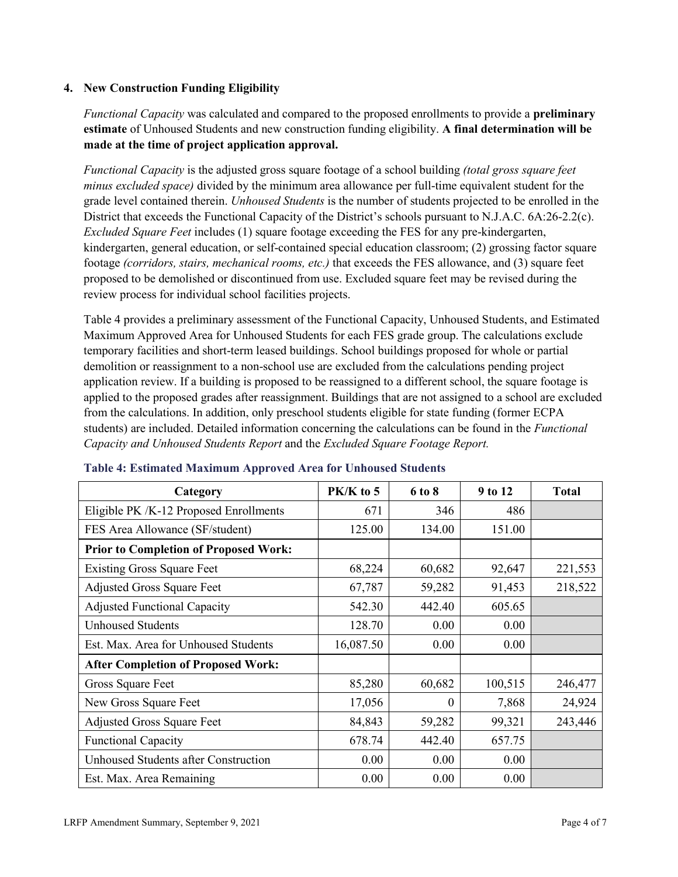#### **4. New Construction Funding Eligibility**

*Functional Capacity* was calculated and compared to the proposed enrollments to provide a **preliminary estimate** of Unhoused Students and new construction funding eligibility. **A final determination will be made at the time of project application approval.**

*Functional Capacity* is the adjusted gross square footage of a school building *(total gross square feet minus excluded space)* divided by the minimum area allowance per full-time equivalent student for the grade level contained therein. *Unhoused Students* is the number of students projected to be enrolled in the District that exceeds the Functional Capacity of the District's schools pursuant to N.J.A.C. 6A:26-2.2(c). *Excluded Square Feet* includes (1) square footage exceeding the FES for any pre-kindergarten, kindergarten, general education, or self-contained special education classroom; (2) grossing factor square footage *(corridors, stairs, mechanical rooms, etc.)* that exceeds the FES allowance, and (3) square feet proposed to be demolished or discontinued from use. Excluded square feet may be revised during the review process for individual school facilities projects.

Table 4 provides a preliminary assessment of the Functional Capacity, Unhoused Students, and Estimated Maximum Approved Area for Unhoused Students for each FES grade group. The calculations exclude temporary facilities and short-term leased buildings. School buildings proposed for whole or partial demolition or reassignment to a non-school use are excluded from the calculations pending project application review. If a building is proposed to be reassigned to a different school, the square footage is applied to the proposed grades after reassignment. Buildings that are not assigned to a school are excluded from the calculations. In addition, only preschool students eligible for state funding (former ECPA students) are included. Detailed information concerning the calculations can be found in the *Functional Capacity and Unhoused Students Report* and the *Excluded Square Footage Report.*

| Category                                     | PK/K to 5 | 6 to 8 | 9 to 12 | <b>Total</b> |
|----------------------------------------------|-----------|--------|---------|--------------|
| Eligible PK /K-12 Proposed Enrollments       | 671       | 346    | 486     |              |
| FES Area Allowance (SF/student)              | 125.00    | 134.00 | 151.00  |              |
| <b>Prior to Completion of Proposed Work:</b> |           |        |         |              |
| <b>Existing Gross Square Feet</b>            | 68,224    | 60,682 | 92,647  | 221,553      |
| <b>Adjusted Gross Square Feet</b>            | 67,787    | 59,282 | 91,453  | 218,522      |
| <b>Adjusted Functional Capacity</b>          | 542.30    | 442.40 | 605.65  |              |
| <b>Unhoused Students</b>                     | 128.70    | 0.00   | 0.00    |              |
| Est. Max. Area for Unhoused Students         | 16,087.50 | 0.00   | 0.00    |              |
| <b>After Completion of Proposed Work:</b>    |           |        |         |              |
| Gross Square Feet                            | 85,280    | 60,682 | 100,515 | 246,477      |
| New Gross Square Feet                        | 17,056    | 0      | 7,868   | 24,924       |
| <b>Adjusted Gross Square Feet</b>            | 84,843    | 59,282 | 99,321  | 243,446      |
| <b>Functional Capacity</b>                   | 678.74    | 442.40 | 657.75  |              |
| Unhoused Students after Construction         | 0.00      | 0.00   | 0.00    |              |
| Est. Max. Area Remaining                     | 0.00      | 0.00   | 0.00    |              |

#### **Table 4: Estimated Maximum Approved Area for Unhoused Students**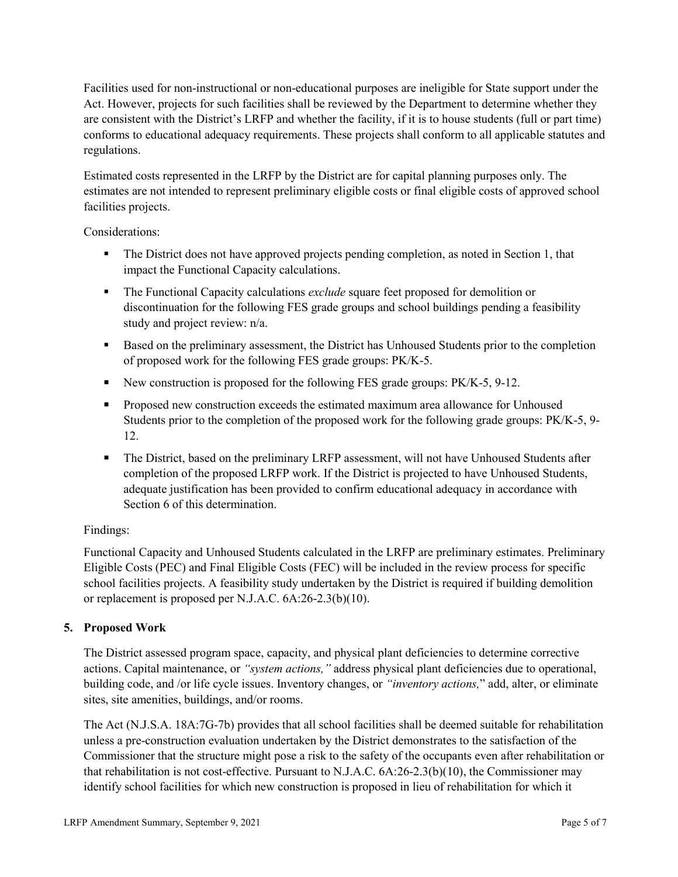Facilities used for non-instructional or non-educational purposes are ineligible for State support under the Act. However, projects for such facilities shall be reviewed by the Department to determine whether they are consistent with the District's LRFP and whether the facility, if it is to house students (full or part time) conforms to educational adequacy requirements. These projects shall conform to all applicable statutes and regulations.

Estimated costs represented in the LRFP by the District are for capital planning purposes only. The estimates are not intended to represent preliminary eligible costs or final eligible costs of approved school facilities projects.

Considerations:

- The District does not have approved projects pending completion, as noted in Section 1, that impact the Functional Capacity calculations.
- **The Functional Capacity calculations** *exclude* square feet proposed for demolition or discontinuation for the following FES grade groups and school buildings pending a feasibility study and project review: n/a.
- Based on the preliminary assessment, the District has Unhoused Students prior to the completion of proposed work for the following FES grade groups: PK/K-5.
- New construction is proposed for the following FES grade groups: PK/K-5, 9-12.
- Proposed new construction exceeds the estimated maximum area allowance for Unhoused Students prior to the completion of the proposed work for the following grade groups: PK/K-5, 9- 12.
- The District, based on the preliminary LRFP assessment, will not have Unhoused Students after completion of the proposed LRFP work. If the District is projected to have Unhoused Students, adequate justification has been provided to confirm educational adequacy in accordance with Section 6 of this determination.

## Findings:

Functional Capacity and Unhoused Students calculated in the LRFP are preliminary estimates. Preliminary Eligible Costs (PEC) and Final Eligible Costs (FEC) will be included in the review process for specific school facilities projects. A feasibility study undertaken by the District is required if building demolition or replacement is proposed per N.J.A.C. 6A:26-2.3(b)(10).

## **5. Proposed Work**

The District assessed program space, capacity, and physical plant deficiencies to determine corrective actions. Capital maintenance, or *"system actions,"* address physical plant deficiencies due to operational, building code, and /or life cycle issues. Inventory changes, or *"inventory actions,*" add, alter, or eliminate sites, site amenities, buildings, and/or rooms.

The Act (N.J.S.A. 18A:7G-7b) provides that all school facilities shall be deemed suitable for rehabilitation unless a pre-construction evaluation undertaken by the District demonstrates to the satisfaction of the Commissioner that the structure might pose a risk to the safety of the occupants even after rehabilitation or that rehabilitation is not cost-effective. Pursuant to N.J.A.C. 6A:26-2.3(b)(10), the Commissioner may identify school facilities for which new construction is proposed in lieu of rehabilitation for which it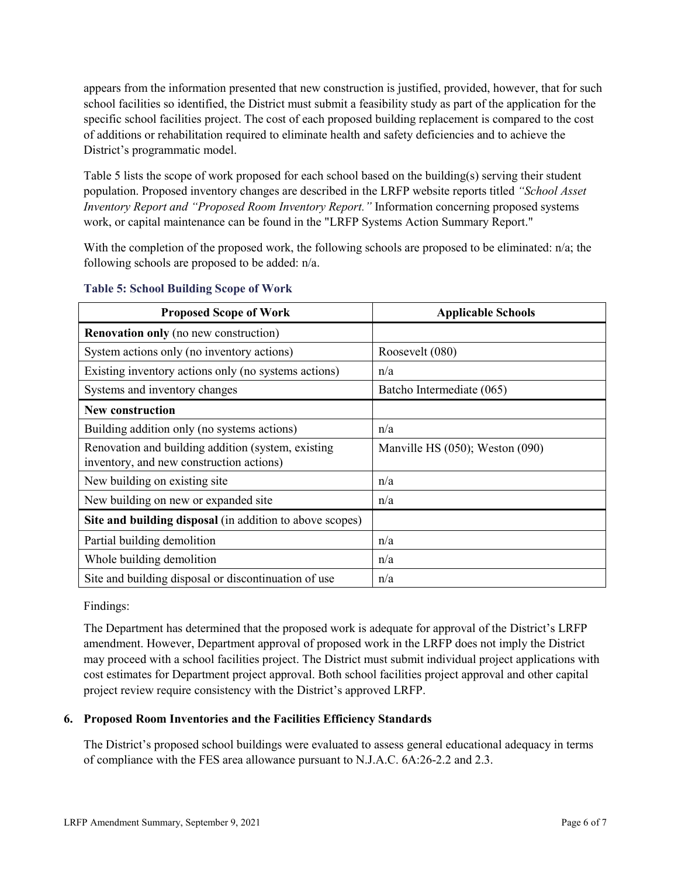appears from the information presented that new construction is justified, provided, however, that for such school facilities so identified, the District must submit a feasibility study as part of the application for the specific school facilities project. The cost of each proposed building replacement is compared to the cost of additions or rehabilitation required to eliminate health and safety deficiencies and to achieve the District's programmatic model.

Table 5 lists the scope of work proposed for each school based on the building(s) serving their student population. Proposed inventory changes are described in the LRFP website reports titled *"School Asset Inventory Report and "Proposed Room Inventory Report."* Information concerning proposed systems work, or capital maintenance can be found in the "LRFP Systems Action Summary Report."

With the completion of the proposed work, the following schools are proposed to be eliminated: n/a; the following schools are proposed to be added: n/a.

| <b>Proposed Scope of Work</b>                                                                  | <b>Applicable Schools</b>       |
|------------------------------------------------------------------------------------------------|---------------------------------|
| <b>Renovation only</b> (no new construction)                                                   |                                 |
| System actions only (no inventory actions)                                                     | Roosevelt (080)                 |
| Existing inventory actions only (no systems actions)                                           | n/a                             |
| Systems and inventory changes                                                                  | Batcho Intermediate (065)       |
| <b>New construction</b>                                                                        |                                 |
| Building addition only (no systems actions)                                                    | n/a                             |
| Renovation and building addition (system, existing<br>inventory, and new construction actions) | Manville HS (050); Weston (090) |
| New building on existing site.                                                                 | n/a                             |
| New building on new or expanded site                                                           | n/a                             |
| Site and building disposal (in addition to above scopes)                                       |                                 |
| Partial building demolition                                                                    | n/a                             |
| Whole building demolition                                                                      | n/a                             |
| Site and building disposal or discontinuation of use                                           | n/a                             |

#### **Table 5: School Building Scope of Work**

Findings:

The Department has determined that the proposed work is adequate for approval of the District's LRFP amendment. However, Department approval of proposed work in the LRFP does not imply the District may proceed with a school facilities project. The District must submit individual project applications with cost estimates for Department project approval. Both school facilities project approval and other capital project review require consistency with the District's approved LRFP.

## **6. Proposed Room Inventories and the Facilities Efficiency Standards**

The District's proposed school buildings were evaluated to assess general educational adequacy in terms of compliance with the FES area allowance pursuant to N.J.A.C. 6A:26-2.2 and 2.3.